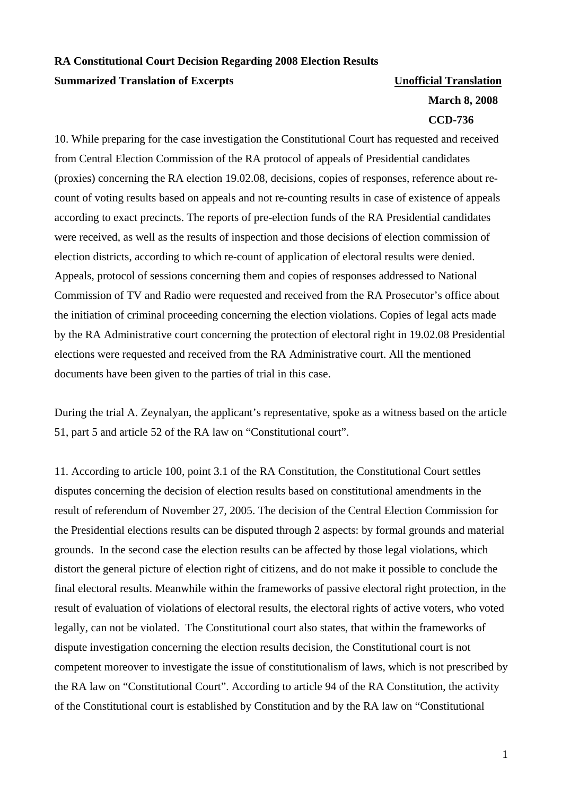## **RA Constitutional Court Decision Regarding 2008 Election Results Summarized Translation of Excerpts Victor Construction Unofficial Translation**

## **March 8, 2008 CCD-736**

10. While preparing for the case investigation the Constitutional Court has requested and received from Central Election Commission of the RA protocol of appeals of Presidential candidates (proxies) concerning the RA election 19.02.08, decisions, copies of responses, reference about recount of voting results based on appeals and not re-counting results in case of existence of appeals according to exact precincts. The reports of pre-election funds of the RA Presidential candidates were received, as well as the results of inspection and those decisions of election commission of election districts, according to which re-count of application of electoral results were denied. Appeals, protocol of sessions concerning them and copies of responses addressed to National Commission of TV and Radio were requested and received from the RA Prosecutor's office about the initiation of criminal proceeding concerning the election violations. Copies of legal acts made by the RA Administrative court concerning the protection of electoral right in 19.02.08 Presidential elections were requested and received from the RA Administrative court. All the mentioned documents have been given to the parties of trial in this case.

During the trial A. Zeynalyan, the applicant's representative, spoke as a witness based on the article 51, part 5 and article 52 of the RA law on "Constitutional court".

11. According to article 100, point 3.1 of the RA Constitution, the Constitutional Court settles disputes concerning the decision of election results based on constitutional amendments in the result of referendum of November 27, 2005. The decision of the Central Election Commission for the Presidential elections results can be disputed through 2 aspects: by formal grounds and material grounds. In the second case the election results can be affected by those legal violations, which distort the general picture of election right of citizens, and do not make it possible to conclude the final electoral results. Meanwhile within the frameworks of passive electoral right protection, in the result of evaluation of violations of electoral results, the electoral rights of active voters, who voted legally, can not be violated. The Constitutional court also states, that within the frameworks of dispute investigation concerning the election results decision, the Constitutional court is not competent moreover to investigate the issue of constitutionalism of laws, which is not prescribed by the RA law on "Constitutional Court". According to article 94 of the RA Constitution, the activity of the Constitutional court is established by Constitution and by the RA law on "Constitutional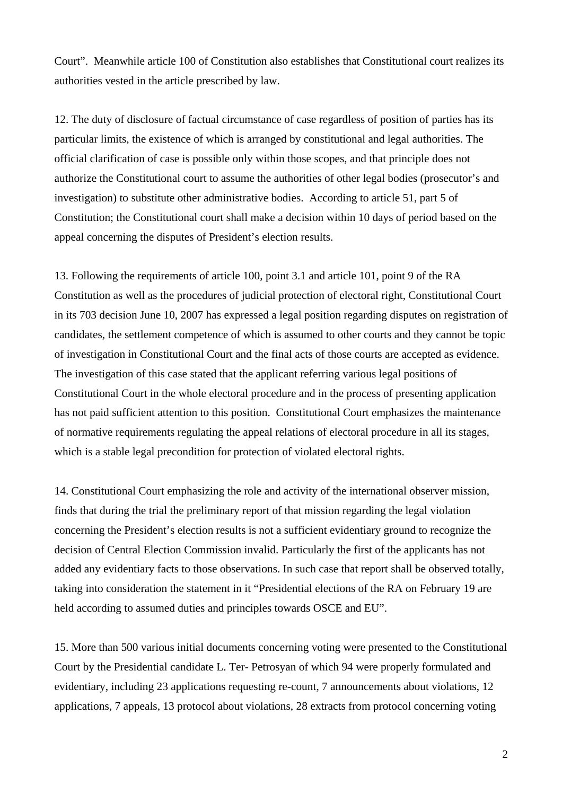Court". Meanwhile article 100 of Constitution also establishes that Constitutional court realizes its authorities vested in the article prescribed by law.

12. The duty of disclosure of factual circumstance of case regardless of position of parties has its particular limits, the existence of which is arranged by constitutional and legal authorities. The official clarification of case is possible only within those scopes, and that principle does not authorize the Constitutional court to assume the authorities of other legal bodies (prosecutor's and investigation) to substitute other administrative bodies. According to article 51, part 5 of Constitution; the Constitutional court shall make a decision within 10 days of period based on the appeal concerning the disputes of President's election results.

13. Following the requirements of article 100, point 3.1 and article 101, point 9 of the RA Constitution as well as the procedures of judicial protection of electoral right, Constitutional Court in its 703 decision June 10, 2007 has expressed a legal position regarding disputes on registration of candidates, the settlement competence of which is assumed to other courts and they cannot be topic of investigation in Constitutional Court and the final acts of those courts are accepted as evidence. The investigation of this case stated that the applicant referring various legal positions of Constitutional Court in the whole electoral procedure and in the process of presenting application has not paid sufficient attention to this position. Constitutional Court emphasizes the maintenance of normative requirements regulating the appeal relations of electoral procedure in all its stages, which is a stable legal precondition for protection of violated electoral rights.

14. Constitutional Court emphasizing the role and activity of the international observer mission, finds that during the trial the preliminary report of that mission regarding the legal violation concerning the President's election results is not a sufficient evidentiary ground to recognize the decision of Central Election Commission invalid. Particularly the first of the applicants has not added any evidentiary facts to those observations. In such case that report shall be observed totally, taking into consideration the statement in it "Presidential elections of the RA on February 19 are held according to assumed duties and principles towards OSCE and EU".

15. More than 500 various initial documents concerning voting were presented to the Constitutional Court by the Presidential candidate L. Ter- Petrosyan of which 94 were properly formulated and evidentiary, including 23 applications requesting re-count, 7 announcements about violations, 12 applications, 7 appeals, 13 protocol about violations, 28 extracts from protocol concerning voting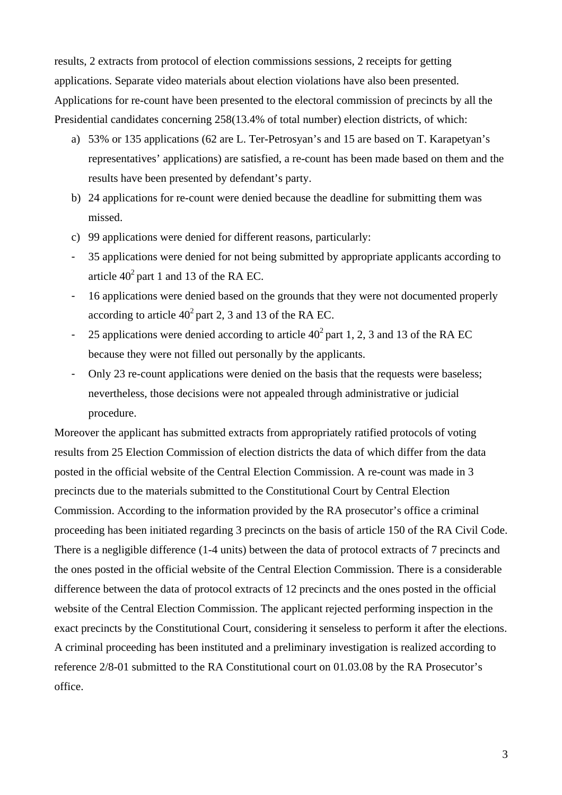results, 2 extracts from protocol of election commissions sessions, 2 receipts for getting applications. Separate video materials about election violations have also been presented. Applications for re-count have been presented to the electoral commission of precincts by all the Presidential candidates concerning 258(13.4% of total number) election districts, of which:

- a) 53% or 135 applications (62 are L. Ter-Petrosyan's and 15 are based on T. Karapetyan's representatives' applications) are satisfied, a re-count has been made based on them and the results have been presented by defendant's party.
- b) 24 applications for re-count were denied because the deadline for submitting them was missed.
- c) 99 applications were denied for different reasons, particularly:
- 35 applications were denied for not being submitted by appropriate applicants according to article  $40^2$  part 1 and 13 of the RA EC.
- 16 applications were denied based on the grounds that they were not documented properly according to article  $40^2$  part 2, 3 and 13 of the RA EC.
- 25 applications were denied according to article  $40^2$  part 1, 2, 3 and 13 of the RA EC because they were not filled out personally by the applicants.
- Only 23 re-count applications were denied on the basis that the requests were baseless; nevertheless, those decisions were not appealed through administrative or judicial procedure.

Moreover the applicant has submitted extracts from appropriately ratified protocols of voting results from 25 Election Commission of election districts the data of which differ from the data posted in the official website of the Central Election Commission. A re-count was made in 3 precincts due to the materials submitted to the Constitutional Court by Central Election Commission. According to the information provided by the RA prosecutor's office a criminal proceeding has been initiated regarding 3 precincts on the basis of article 150 of the RA Civil Code. There is a negligible difference (1-4 units) between the data of protocol extracts of 7 precincts and the ones posted in the official website of the Central Election Commission. There is a considerable difference between the data of protocol extracts of 12 precincts and the ones posted in the official website of the Central Election Commission. The applicant rejected performing inspection in the exact precincts by the Constitutional Court, considering it senseless to perform it after the elections. A criminal proceeding has been instituted and a preliminary investigation is realized according to reference 2/8-01 submitted to the RA Constitutional court on 01.03.08 by the RA Prosecutor's office.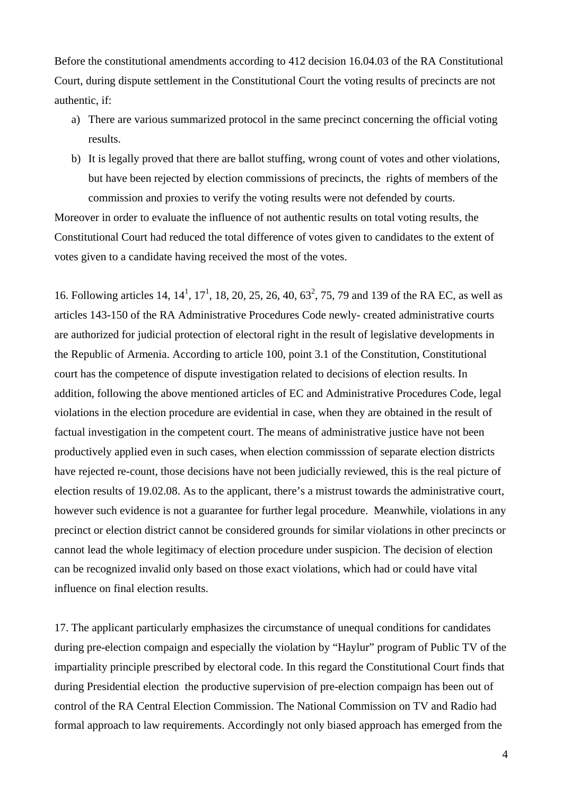Before the constitutional amendments according to 412 decision 16.04.03 of the RA Constitutional Court, during dispute settlement in the Constitutional Court the voting results of precincts are not authentic, if:

- a) There are various summarized protocol in the same precinct concerning the official voting results.
- b) It is legally proved that there are ballot stuffing, wrong count of votes and other violations, but have been rejected by election commissions of precincts, the rights of members of the commission and proxies to verify the voting results were not defended by courts.

Moreover in order to evaluate the influence of not authentic results on total voting results, the Constitutional Court had reduced the total difference of votes given to candidates to the extent of votes given to a candidate having received the most of the votes.

16. Following articles 14,  $14^1$ ,  $17^1$ , 18, 20, 25, 26, 40, 63<sup>2</sup>, 75, 79 and 139 of the RA EC, as well as articles 143-150 of the RA Administrative Procedures Code newly- created administrative courts are authorized for judicial protection of electoral right in the result of legislative developments in the Republic of Armenia. According to article 100, point 3.1 of the Constitution, Constitutional court has the competence of dispute investigation related to decisions of election results. In addition, following the above mentioned articles of EC and Administrative Procedures Code, legal violations in the election procedure are evidential in case, when they are obtained in the result of factual investigation in the competent court. The means of administrative justice have not been productively applied even in such cases, when election commisssion of separate election districts have rejected re-count, those decisions have not been judicially reviewed, this is the real picture of election results of 19.02.08. As to the applicant, there's a mistrust towards the administrative court, however such evidence is not a guarantee for further legal procedure. Meanwhile, violations in any precinct or election district cannot be considered grounds for similar violations in other precincts or cannot lead the whole legitimacy of election procedure under suspicion. The decision of election can be recognized invalid only based on those exact violations, which had or could have vital influence on final election results.

17. The applicant particularly emphasizes the circumstance of unequal conditions for candidates during pre-election compaign and especially the violation by "Haylur" program of Public TV of the impartiality principle prescribed by electoral code. In this regard the Constitutional Court finds that during Presidential election the productive supervision of pre-election compaign has been out of control of the RA Central Election Commission. The National Commission on TV and Radio had formal approach to law requirements. Accordingly not only biased approach has emerged from the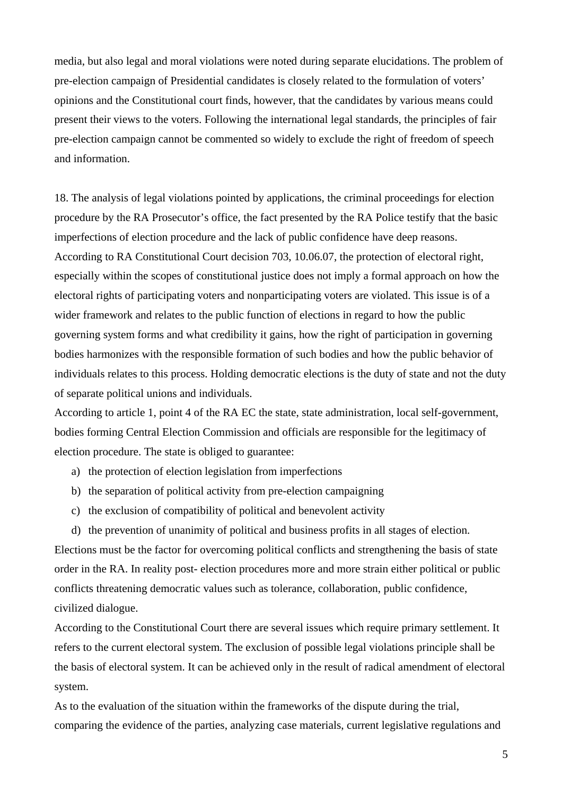media, but also legal and moral violations were noted during separate elucidations. The problem of pre-election campaign of Presidential candidates is closely related to the formulation of voters' opinions and the Constitutional court finds, however, that the candidates by various means could present their views to the voters. Following the international legal standards, the principles of fair pre-election campaign cannot be commented so widely to exclude the right of freedom of speech and information.

18. The analysis of legal violations pointed by applications, the criminal proceedings for election procedure by the RA Prosecutor's office, the fact presented by the RA Police testify that the basic imperfections of election procedure and the lack of public confidence have deep reasons. According to RA Constitutional Court decision 703, 10.06.07, the protection of electoral right, especially within the scopes of constitutional justice does not imply a formal approach on how the electoral rights of participating voters and nonparticipating voters are violated. This issue is of a wider framework and relates to the public function of elections in regard to how the public governing system forms and what credibility it gains, how the right of participation in governing bodies harmonizes with the responsible formation of such bodies and how the public behavior of individuals relates to this process. Holding democratic elections is the duty of state and not the duty of separate political unions and individuals.

According to article 1, point 4 of the RA EC the state, state administration, local self-government, bodies forming Central Election Commission and officials are responsible for the legitimacy of election procedure. The state is obliged to guarantee:

- a) the protection of election legislation from imperfections
- b) the separation of political activity from pre-election campaigning
- c) the exclusion of compatibility of political and benevolent activity
- d) the prevention of unanimity of political and business profits in all stages of election.

Elections must be the factor for overcoming political conflicts and strengthening the basis of state order in the RA. In reality post- election procedures more and more strain either political or public conflicts threatening democratic values such as tolerance, collaboration, public confidence, civilized dialogue.

According to the Constitutional Court there are several issues which require primary settlement. It refers to the current electoral system. The exclusion of possible legal violations principle shall be the basis of electoral system. It can be achieved only in the result of radical amendment of electoral system.

As to the evaluation of the situation within the frameworks of the dispute during the trial, comparing the evidence of the parties, analyzing case materials, current legislative regulations and